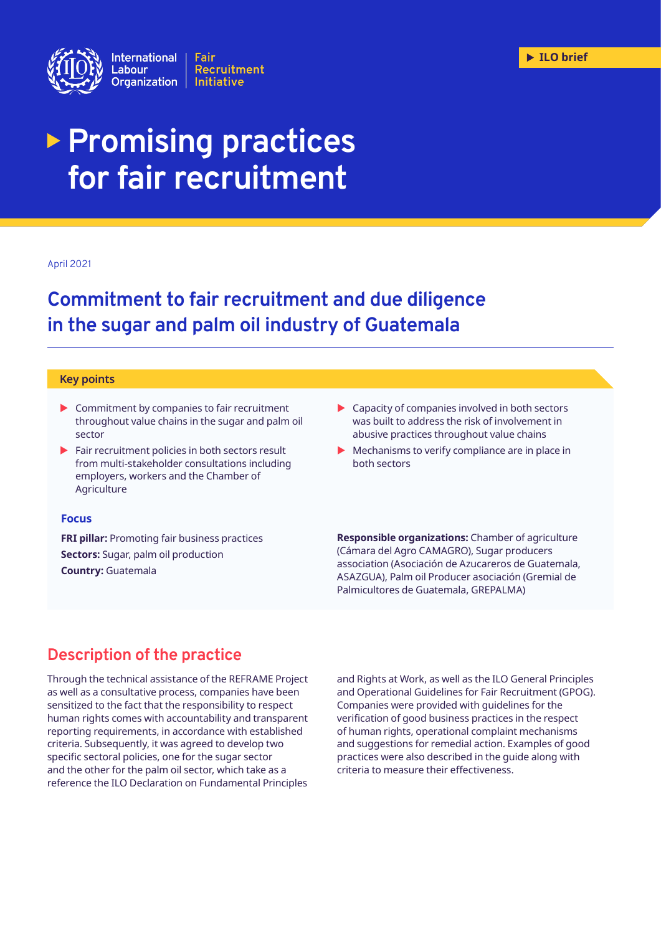

# **Promising practices for fair recruitment**

#### April 2021

## **Commitment to fair recruitment and due diligence in the sugar and palm oil industry of Guatemala**

#### **Key points**

- $\triangleright$  Commitment by companies to fair recruitment throughout value chains in the sugar and palm oil sector
- $\blacktriangleright$  Fair recruitment policies in both sectors result from multi-stakeholder consultations including employers, workers and the Chamber of Agriculture

### $\blacktriangleright$  Capacity of companies involved in both sectors was built to address the risk of involvement in abusive practices throughout value chains

 $\blacktriangleright$  Mechanisms to verify compliance are in place in both sectors

#### **Focus**

**FRI pillar:** Promoting fair business practices **Sectors:** Sugar, palm oil production **Country:** Guatemala

**Responsible organizations:** Chamber of agriculture (Cámara del Agro CAMAGRO), Sugar producers association (Asociación de Azucareros de Guatemala, ASAZGUA), Palm oil Producer asociación (Gremial de Palmicultores de Guatemala, GREPALMA)

## **Description of the practice**

Through the technical assistance of the REFRAME Project as well as a consultative process, companies have been sensitized to the fact that the responsibility to respect human rights comes with accountability and transparent reporting requirements, in accordance with established criteria. Subsequently, it was agreed to develop two specific sectoral policies, one for the sugar sector and the other for the palm oil sector, which take as a reference the ILO Declaration on Fundamental Principles

and Rights at Work, as well as the ILO General Principles and Operational Guidelines for Fair Recruitment (GPOG). Companies were provided with guidelines for the verification of good business practices in the respect of human rights, operational complaint mechanisms and suggestions for remedial action. Examples of good practices were also described in the guide along with criteria to measure their effectiveness.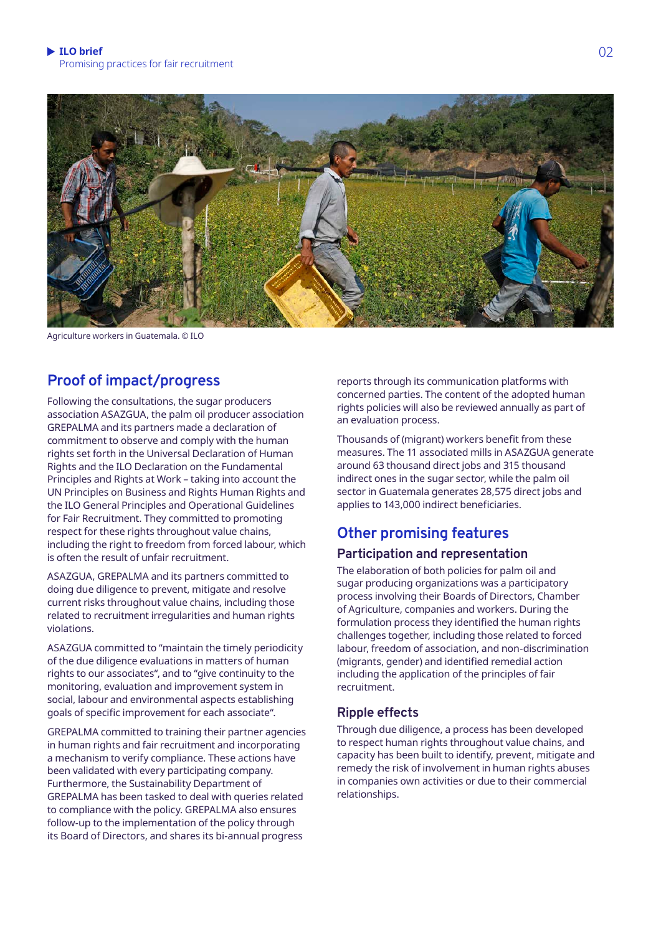

Agriculture workers in Guatemala. © ILO

## **Proof of impact/progress**

Following the consultations, the sugar producers association ASAZGUA, the palm oil producer association GREPALMA and its partners made a declaration of commitment to observe and comply with the human rights set forth in the Universal Declaration of Human Rights and the ILO Declaration on the Fundamental Principles and Rights at Work – taking into account the UN Principles on Business and Rights Human Rights and the ILO General Principles and Operational Guidelines for Fair Recruitment. They committed to promoting respect for these rights throughout value chains, including the right to freedom from forced labour, which is often the result of unfair recruitment.

ASAZGUA, GREPALMA and its partners committed to doing due diligence to prevent, mitigate and resolve current risks throughout value chains, including those related to recruitment irregularities and human rights violations.

ASAZGUA committed to "maintain the timely periodicity of the due diligence evaluations in matters of human rights to our associates", and to "give continuity to the monitoring, evaluation and improvement system in social, labour and environmental aspects establishing goals of specific improvement for each associate".

GREPALMA committed to training their partner agencies in human rights and fair recruitment and incorporating a mechanism to verify compliance. These actions have been validated with every participating company. Furthermore, the Sustainability Department of GREPALMA has been tasked to deal with queries related to compliance with the policy. GREPALMA also ensures follow-up to the implementation of the policy through its Board of Directors, and shares its bi-annual progress

reports through its communication platforms with concerned parties. The content of the adopted human rights policies will also be reviewed annually as part of an evaluation process.

Thousands of (migrant) workers benefit from these measures. The 11 associated mills in ASAZGUA generate around 63 thousand direct jobs and 315 thousand indirect ones in the sugar sector, while the palm oil sector in Guatemala generates 28,575 direct jobs and applies to 143,000 indirect beneficiaries.

## **Other promising features**

## **Participation and representation**

The elaboration of both policies for palm oil and sugar producing organizations was a participatory process involving their Boards of Directors, Chamber of Agriculture, companies and workers. During the formulation process they identified the human rights challenges together, including those related to forced labour, freedom of association, and non-discrimination (migrants, gender) and identified remedial action including the application of the principles of fair recruitment.

## **Ripple effects**

Through due diligence, a process has been developed to respect human rights throughout value chains, and capacity has been built to identify, prevent, mitigate and remedy the risk of involvement in human rights abuses in companies own activities or due to their commercial relationships.